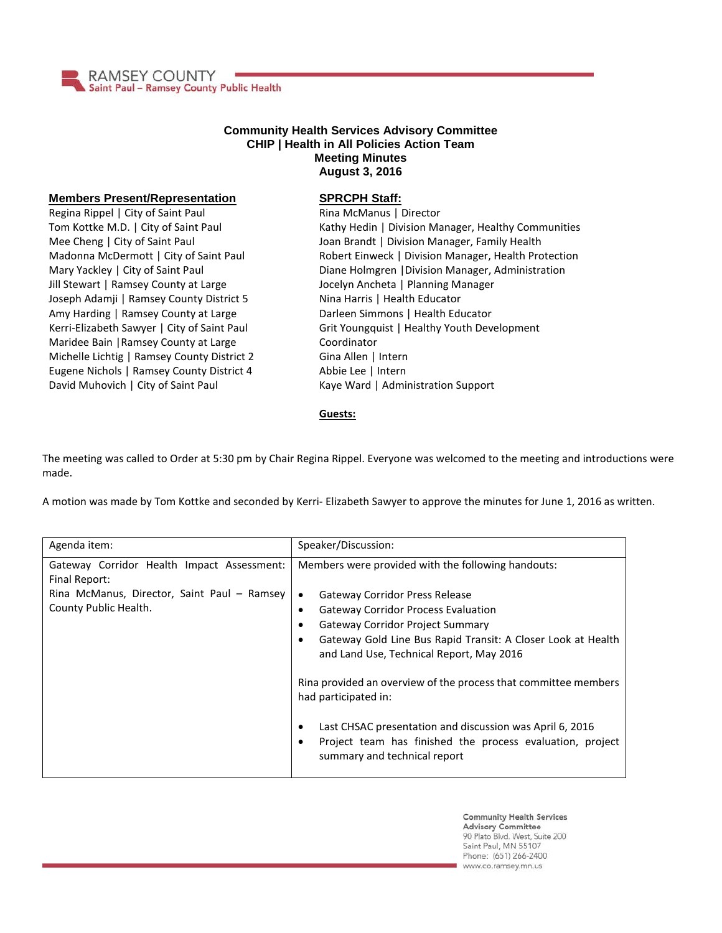

## **Community Health Services Advisory Committee CHIP | Health in All Policies Action Team Meeting Minutes August 3, 2016**

## **Members Present/Representation**

Regina Rippel | City of Saint Paul Tom Kottke M.D. | City of Saint Paul Mee Cheng | City of Saint Paul Madonna McDermott | City of Saint Paul Mary Yackley | City of Saint Paul Jill Stewart | Ramsey County at Large Joseph Adamji | Ramsey County District 5 Amy Harding | Ramsey County at Large Kerri-Elizabeth Sawyer | City of Saint Paul Maridee Bain |Ramsey County at Large Michelle Lichtig | Ramsey County District 2 Eugene Nichols | Ramsey County District 4 David Muhovich | City of Saint Paul

## **SPRCPH Staff:**

Rina McManus | Director Kathy Hedin | Division Manager, Healthy Communities Joan Brandt | Division Manager, Family Health Robert Einweck | Division Manager, Health Protection Diane Holmgren |Division Manager, Administration Jocelyn Ancheta | Planning Manager Nina Harris | Health Educator Darleen Simmons | Health Educator Grit Youngquist | Healthy Youth Development Coordinator Gina Allen | Intern Abbie Lee | Intern Kaye Ward | Administration Support

## **Guests:**

The meeting was called to Order at 5:30 pm by Chair Regina Rippel. Everyone was welcomed to the meeting and introductions were made.

A motion was made by Tom Kottke and seconded by Kerri- Elizabeth Sawyer to approve the minutes for June 1, 2016 as written.

| Agenda item:                                                                                                                        | Speaker/Discussion:                                                                                                                                                                                                                                                                                                                                                                         |
|-------------------------------------------------------------------------------------------------------------------------------------|---------------------------------------------------------------------------------------------------------------------------------------------------------------------------------------------------------------------------------------------------------------------------------------------------------------------------------------------------------------------------------------------|
| Gateway Corridor Health Impact Assessment:<br>Final Report:<br>Rina McManus, Director, Saint Paul - Ramsey<br>County Public Health. | Members were provided with the following handouts:<br><b>Gateway Corridor Press Release</b><br><b>Gateway Corridor Process Evaluation</b><br><b>Gateway Corridor Project Summary</b><br>Gateway Gold Line Bus Rapid Transit: A Closer Look at Health<br>and Land Use, Technical Report, May 2016<br>Rina provided an overview of the process that committee members<br>had participated in: |
|                                                                                                                                     | Last CHSAC presentation and discussion was April 6, 2016<br>Project team has finished the process evaluation, project<br>summary and technical report                                                                                                                                                                                                                                       |

**Community Health Services Advisory Committee** 90 Plato Blvd. West, Suite 200 Saint Paul, MN 55107 Phone: (651) 266-2400 www.co.ramsey.mn.us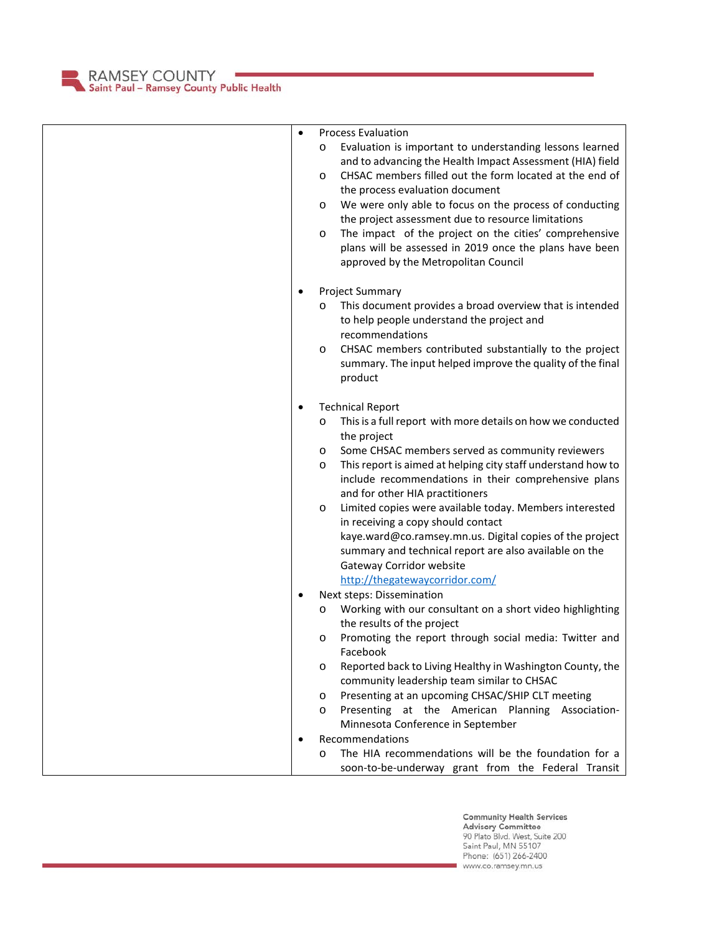RAMSEY COUNTY<br>Saint Paul – Ramsey County Public Health

| $\bullet$ | <b>Process Evaluation</b><br>Evaluation is important to understanding lessons learned<br>O<br>and to advancing the Health Impact Assessment (HIA) field<br>CHSAC members filled out the form located at the end of<br>$\circ$<br>the process evaluation document<br>We were only able to focus on the process of conducting<br>O<br>the project assessment due to resource limitations<br>The impact of the project on the cities' comprehensive<br>O<br>plans will be assessed in 2019 once the plans have been<br>approved by the Metropolitan Council                                                                                                         |
|-----------|------------------------------------------------------------------------------------------------------------------------------------------------------------------------------------------------------------------------------------------------------------------------------------------------------------------------------------------------------------------------------------------------------------------------------------------------------------------------------------------------------------------------------------------------------------------------------------------------------------------------------------------------------------------|
| $\bullet$ | Project Summary<br>This document provides a broad overview that is intended<br>$\circ$<br>to help people understand the project and<br>recommendations<br>CHSAC members contributed substantially to the project<br>O<br>summary. The input helped improve the quality of the final<br>product                                                                                                                                                                                                                                                                                                                                                                   |
| ٠         | <b>Technical Report</b><br>This is a full report with more details on how we conducted<br>$\circ$<br>the project<br>Some CHSAC members served as community reviewers<br>O<br>This report is aimed at helping city staff understand how to<br>O<br>include recommendations in their comprehensive plans<br>and for other HIA practitioners<br>Limited copies were available today. Members interested<br>O<br>in receiving a copy should contact<br>kaye.ward@co.ramsey.mn.us. Digital copies of the project<br>summary and technical report are also available on the<br>Gateway Corridor website<br>http://thegatewaycorridor.com/<br>Next steps: Dissemination |
|           | Working with our consultant on a short video highlighting<br>O<br>the results of the project<br>Promoting the report through social media: Twitter and<br>O<br>Facebook<br>Reported back to Living Healthy in Washington County, the<br>O<br>community leadership team similar to CHSAC<br>Presenting at an upcoming CHSAC/SHIP CLT meeting<br>O<br>Presenting at the American Planning Association-<br>$\circ$<br>Minnesota Conference in September                                                                                                                                                                                                             |
|           | Recommendations<br>The HIA recommendations will be the foundation for a<br>$\circ$<br>soon-to-be-underway grant from the Federal Transit                                                                                                                                                                                                                                                                                                                                                                                                                                                                                                                         |

Community Health Services<br>Advisory Committee<br>90 Plato Blvd. West, Suite 200<br>Saint Paul, MN 55107<br>Phone: (651) 266-2400 www.co.ramsey.mn.us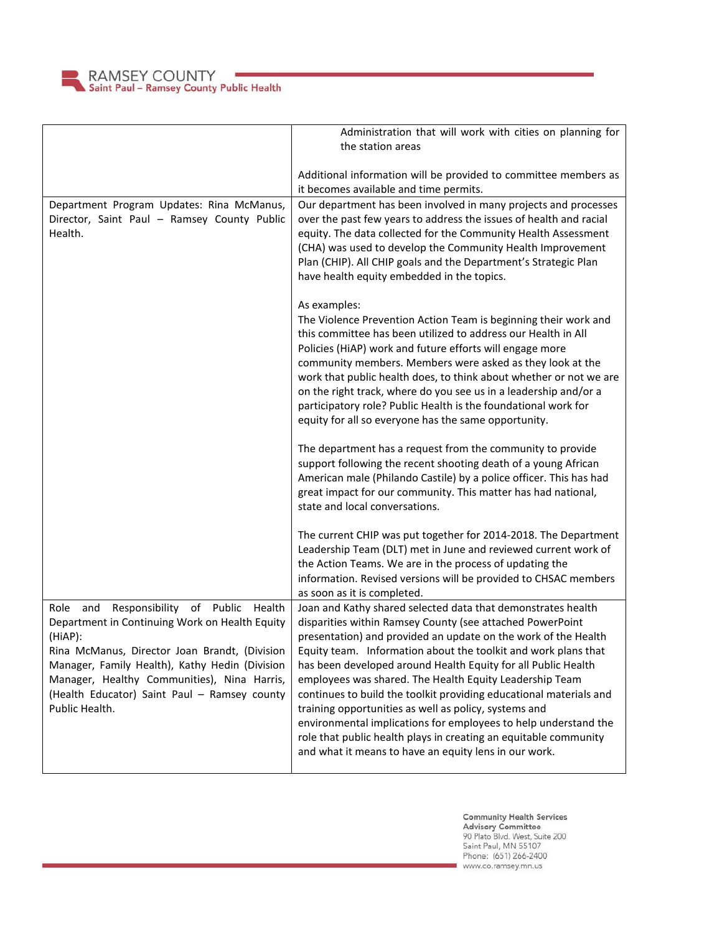

|                                                                                                                                                                                                                                                                                                                                 | Administration that will work with cities on planning for                                                                                                                                                                                                                                                                                                                                                                                                                                                                                                                                                                                                                                                                |
|---------------------------------------------------------------------------------------------------------------------------------------------------------------------------------------------------------------------------------------------------------------------------------------------------------------------------------|--------------------------------------------------------------------------------------------------------------------------------------------------------------------------------------------------------------------------------------------------------------------------------------------------------------------------------------------------------------------------------------------------------------------------------------------------------------------------------------------------------------------------------------------------------------------------------------------------------------------------------------------------------------------------------------------------------------------------|
|                                                                                                                                                                                                                                                                                                                                 | the station areas                                                                                                                                                                                                                                                                                                                                                                                                                                                                                                                                                                                                                                                                                                        |
|                                                                                                                                                                                                                                                                                                                                 | Additional information will be provided to committee members as<br>it becomes available and time permits.                                                                                                                                                                                                                                                                                                                                                                                                                                                                                                                                                                                                                |
| Department Program Updates: Rina McManus,<br>Director, Saint Paul - Ramsey County Public<br>Health.                                                                                                                                                                                                                             | Our department has been involved in many projects and processes<br>over the past few years to address the issues of health and racial<br>equity. The data collected for the Community Health Assessment<br>(CHA) was used to develop the Community Health Improvement<br>Plan (CHIP). All CHIP goals and the Department's Strategic Plan<br>have health equity embedded in the topics.                                                                                                                                                                                                                                                                                                                                   |
|                                                                                                                                                                                                                                                                                                                                 | As examples:<br>The Violence Prevention Action Team is beginning their work and<br>this committee has been utilized to address our Health in All<br>Policies (HiAP) work and future efforts will engage more<br>community members. Members were asked as they look at the<br>work that public health does, to think about whether or not we are<br>on the right track, where do you see us in a leadership and/or a<br>participatory role? Public Health is the foundational work for<br>equity for all so everyone has the same opportunity.                                                                                                                                                                            |
|                                                                                                                                                                                                                                                                                                                                 | The department has a request from the community to provide<br>support following the recent shooting death of a young African<br>American male (Philando Castile) by a police officer. This has had<br>great impact for our community. This matter has had national,<br>state and local conversations.                                                                                                                                                                                                                                                                                                                                                                                                                    |
|                                                                                                                                                                                                                                                                                                                                 | The current CHIP was put together for 2014-2018. The Department<br>Leadership Team (DLT) met in June and reviewed current work of<br>the Action Teams. We are in the process of updating the<br>information. Revised versions will be provided to CHSAC members<br>as soon as it is completed.                                                                                                                                                                                                                                                                                                                                                                                                                           |
| Responsibility of Public Health<br>Role<br>and<br>Department in Continuing Work on Health Equity<br>(HiAP):<br>Rina McManus, Director Joan Brandt, (Division<br>Manager, Family Health), Kathy Hedin (Division<br>Manager, Healthy Communities), Nina Harris,<br>(Health Educator) Saint Paul - Ramsey county<br>Public Health. | Joan and Kathy shared selected data that demonstrates health<br>disparities within Ramsey County (see attached PowerPoint<br>presentation) and provided an update on the work of the Health<br>Equity team. Information about the toolkit and work plans that<br>has been developed around Health Equity for all Public Health<br>employees was shared. The Health Equity Leadership Team<br>continues to build the toolkit providing educational materials and<br>training opportunities as well as policy, systems and<br>environmental implications for employees to help understand the<br>role that public health plays in creating an equitable community<br>and what it means to have an equity lens in our work. |

**Community Health Services<br>Advisory Committee**<br>90 Plato Blvd. West, Suite 200<br>Saint Paul, MN 55107<br>Phone: (651) 266-2400<br>www.co.ramsey.mn.us

a,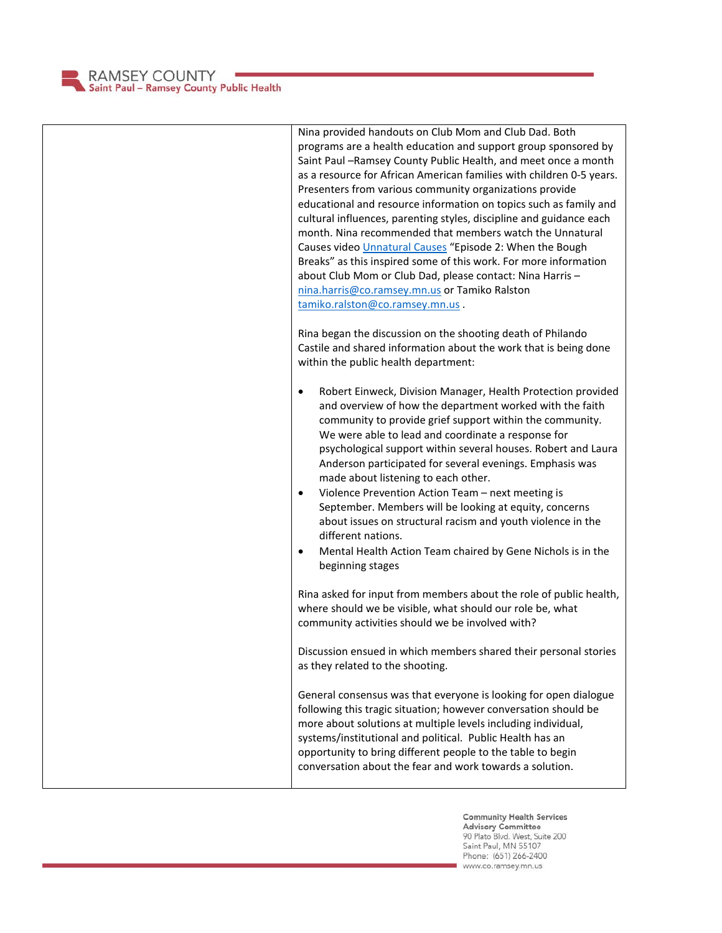

| Nina provided handouts on Club Mom and Club Dad. Both<br>programs are a health education and support group sponsored by<br>Saint Paul - Ramsey County Public Health, and meet once a month<br>as a resource for African American families with children 0-5 years.<br>Presenters from various community organizations provide<br>educational and resource information on topics such as family and<br>cultural influences, parenting styles, discipline and guidance each<br>month. Nina recommended that members watch the Unnatural<br>Causes video Unnatural Causes "Episode 2: When the Bough<br>Breaks" as this inspired some of this work. For more information<br>about Club Mom or Club Dad, please contact: Nina Harris -<br>nina.harris@co.ramsey.mn.us or Tamiko Ralston<br>tamiko.ralston@co.ramsey.mn.us. |
|------------------------------------------------------------------------------------------------------------------------------------------------------------------------------------------------------------------------------------------------------------------------------------------------------------------------------------------------------------------------------------------------------------------------------------------------------------------------------------------------------------------------------------------------------------------------------------------------------------------------------------------------------------------------------------------------------------------------------------------------------------------------------------------------------------------------|
| Rina began the discussion on the shooting death of Philando<br>Castile and shared information about the work that is being done<br>within the public health department:                                                                                                                                                                                                                                                                                                                                                                                                                                                                                                                                                                                                                                                |
| Robert Einweck, Division Manager, Health Protection provided<br>$\bullet$<br>and overview of how the department worked with the faith<br>community to provide grief support within the community.<br>We were able to lead and coordinate a response for<br>psychological support within several houses. Robert and Laura<br>Anderson participated for several evenings. Emphasis was<br>made about listening to each other.<br>Violence Prevention Action Team - next meeting is<br>$\bullet$<br>September. Members will be looking at equity, concerns<br>about issues on structural racism and youth violence in the<br>different nations.<br>Mental Health Action Team chaired by Gene Nichols is in the<br>$\bullet$<br>beginning stages                                                                           |
| Rina asked for input from members about the role of public health,<br>where should we be visible, what should our role be, what<br>community activities should we be involved with?                                                                                                                                                                                                                                                                                                                                                                                                                                                                                                                                                                                                                                    |
| Discussion ensued in which members shared their personal stories<br>as they related to the shooting.                                                                                                                                                                                                                                                                                                                                                                                                                                                                                                                                                                                                                                                                                                                   |
| General consensus was that everyone is looking for open dialogue<br>following this tragic situation; however conversation should be<br>more about solutions at multiple levels including individual,<br>systems/institutional and political. Public Health has an<br>opportunity to bring different people to the table to begin<br>conversation about the fear and work towards a solution.                                                                                                                                                                                                                                                                                                                                                                                                                           |

Community Health Services<br>Advisory Committee<br>90 Plato Blvd. West, Suite 200<br>Saint Paul, MN 55107<br>Phone: (651) 266-2400<br>www.co.ramsey.mn.us